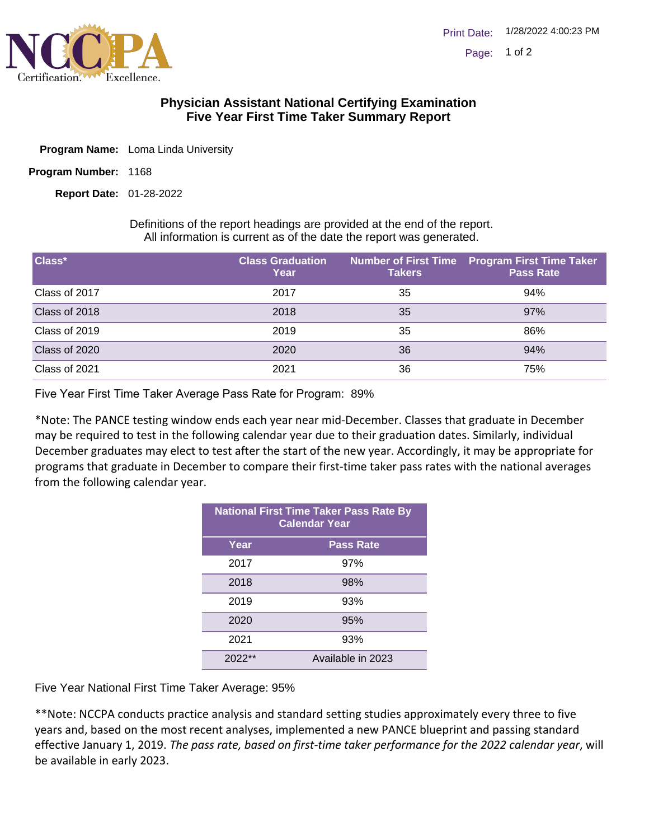

## **Physician Assistant National Certifying Examination Five Year First Time Taker Summary Report**

- Program Name: Loma Linda University
- Program Number: 1168

01-28-2022 **Report Date:**

Definitions of the report headings are provided at the end of the report. All information is current as of the date the report was generated.

| Class*        | <b>Class Graduation</b><br>Year | <b>Takers</b> | Number of First Time Program First Time Taker<br><b>Pass Rate</b> |
|---------------|---------------------------------|---------------|-------------------------------------------------------------------|
| Class of 2017 | 2017                            | 35            | 94%                                                               |
| Class of 2018 | 2018                            | 35            | 97%                                                               |
| Class of 2019 | 2019                            | 35            | 86%                                                               |
| Class of 2020 | 2020                            | 36            | 94%                                                               |
| Class of 2021 | 2021                            | 36            | 75%                                                               |

Five Year First Time Taker Average Pass Rate for Program: 89%

\*Note: The PANCE testing window ends each year near mid-December. Classes that graduate in December may be required to test in the following calendar year due to their graduation dates. Similarly, individual December graduates may elect to test after the start of the new year. Accordingly, it may be appropriate for programs that graduate in December to compare their first-time taker pass rates with the national averages from the following calendar year.

| <b>National First Time Taker Pass Rate By</b><br><b>Calendar Year</b> |                   |  |
|-----------------------------------------------------------------------|-------------------|--|
| Year                                                                  | <b>Pass Rate</b>  |  |
| 2017                                                                  | 97%               |  |
| 2018                                                                  | 98%               |  |
| 2019                                                                  | 93%               |  |
| 2020                                                                  | 95%               |  |
| 2021                                                                  | 93%               |  |
| $2022**$                                                              | Available in 2023 |  |

Five Year National First Time Taker Average: 95%

\*\*Note: NCCPA conducts practice analysis and standard setting studies approximately every three to five years and, based on the most recent analyses, implemented a new PANCE blueprint and passing standard effective January 1, 2019. *The pass rate, based on first-time taker performance for the 2022 calendar year*, will be available in early 2023.